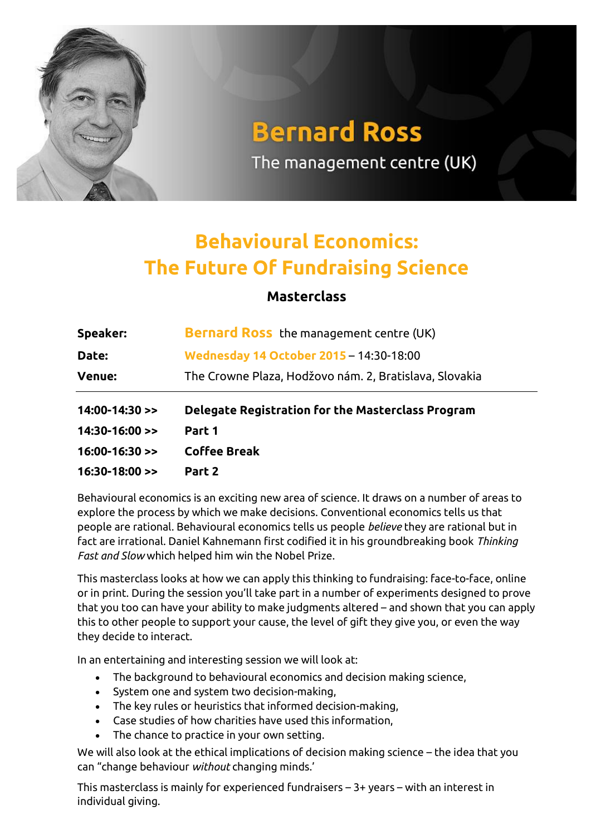

## **Bernard Ross**

The management centre (UK)

## **Behavioural Economics: The Future Of Fundraising Science**

## **Masterclass**

| Speaker:                  | <b>Bernard Ross</b> the management centre (UK)           |  |
|---------------------------|----------------------------------------------------------|--|
| Date:                     | Wednesday 14 October 2015 - 14:30-18:00                  |  |
| <b>Venue:</b>             | The Crowne Plaza, Hodžovo nám. 2, Bratislava, Slovakia   |  |
|                           |                                                          |  |
| $14:00-14:30$ >>          | <b>Delegate Registration for the Masterclass Program</b> |  |
| $14:30-16:00 \rightarrow$ | Part 1                                                   |  |
| $16:00-16:30 \geq 1$      | <b>Coffee Break</b>                                      |  |

Behavioural economics is an exciting new area of science. It draws on a number of areas to explore the process by which we make decisions. Conventional economics tells us that people are rational. Behavioural economics tells us people *believe* they are rational but in fact are irrational. Daniel Kahnemann first codified it in his groundbreaking book *Thinking Fast and Slow* which helped him win the Nobel Prize.

This masterclass looks at how we can apply this thinking to fundraising: face-to-face, online or in print. During the session you'll take part in a number of experiments designed to prove that you too can have your ability to make judgments altered – and shown that you can apply this to other people to support your cause, the level of gift they give you, or even the way they decide to interact.

In an entertaining and interesting session we will look at:

- The background to behavioural economics and decision making science,
- System one and system two decision-making,
- The key rules or heuristics that informed decision-making,
- Case studies of how charities have used this information,
- The chance to practice in your own setting.

We will also look at the ethical implications of decision making science – the idea that you can "change behaviour *without* changing minds.'

This masterclass is mainly for experienced fundraisers – 3+ years – with an interest in individual giving.